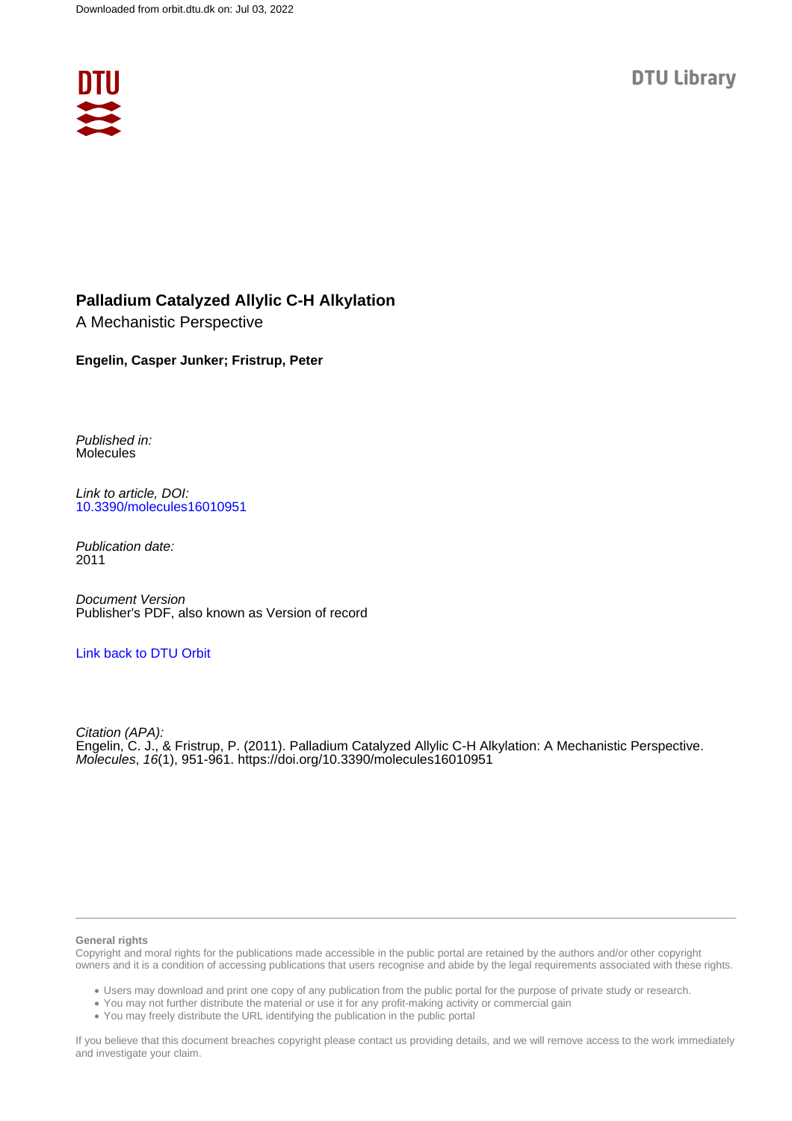

## **Palladium Catalyzed Allylic C-H Alkylation**

A Mechanistic Perspective

#### **Engelin, Casper Junker; Fristrup, Peter**

Published in: Molecules

Link to article, DOI: [10.3390/molecules16010951](https://doi.org/10.3390/molecules16010951)

Publication date: 2011

Document Version Publisher's PDF, also known as Version of record

#### [Link back to DTU Orbit](https://orbit.dtu.dk/en/publications/cbbd65fc-04e7-4555-9ac5-ad671dc8ee83)

Citation (APA): Engelin, C. J., & Fristrup, P. (2011). Palladium Catalyzed Allylic C-H Alkylation: A Mechanistic Perspective. Molecules, 16(1), 951-961. <https://doi.org/10.3390/molecules16010951>

#### **General rights**

Copyright and moral rights for the publications made accessible in the public portal are retained by the authors and/or other copyright owners and it is a condition of accessing publications that users recognise and abide by the legal requirements associated with these rights.

Users may download and print one copy of any publication from the public portal for the purpose of private study or research.

- You may not further distribute the material or use it for any profit-making activity or commercial gain
- You may freely distribute the URL identifying the publication in the public portal

If you believe that this document breaches copyright please contact us providing details, and we will remove access to the work immediately and investigate your claim.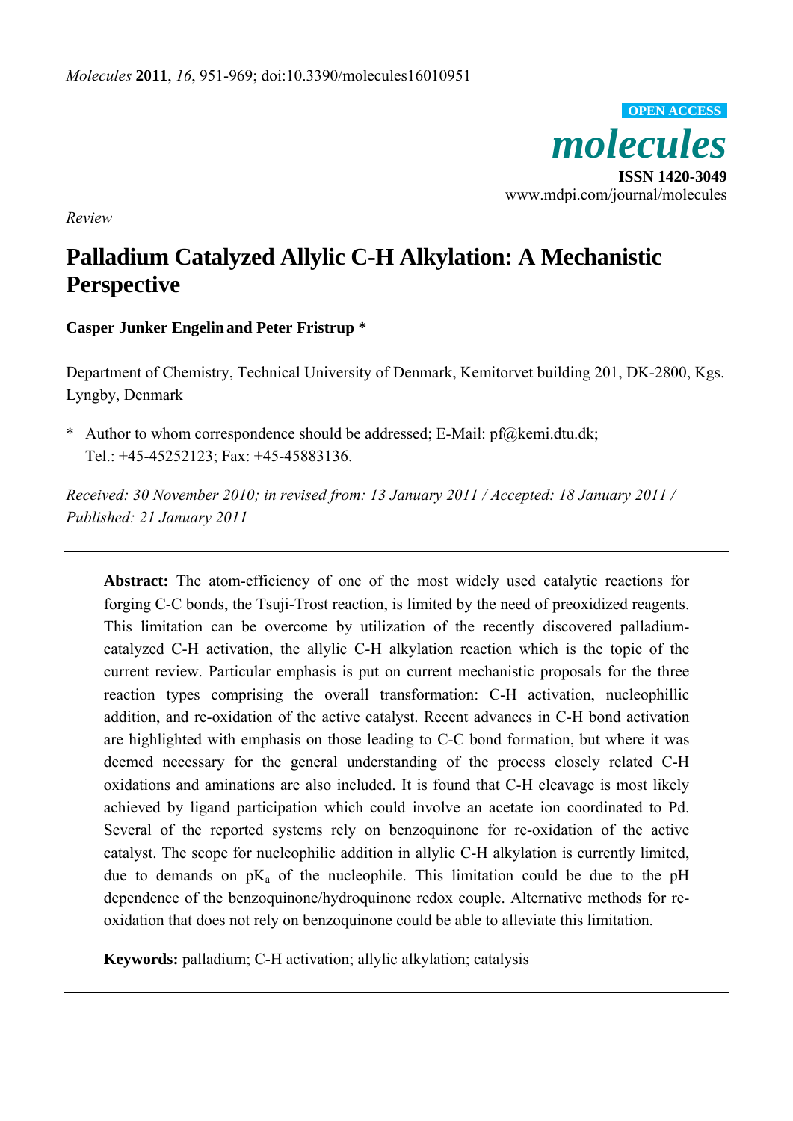

*Review* 

# **Palladium Catalyzed Allylic C-H Alkylation: A Mechanistic Perspective**

## **Casper Junker Engelin and Peter Fristrup \***

Department of Chemistry, Technical University of Denmark, Kemitorvet building 201, DK-2800, Kgs. Lyngby, Denmark

\* Author to whom correspondence should be addressed; E-Mail: pf@kemi.dtu.dk; Tel.: +45-45252123; Fax: +45-45883136.

*Received: 30 November 2010; in revised from: 13 January 2011 / Accepted: 18 January 2011 / Published: 21 January 2011* 

Abstract: The atom-efficiency of one of the most widely used catalytic reactions for forging C-C bonds, the Tsuji-Trost reaction, is limited by the need of preoxidized reagents. This limitation can be overcome by utilization of the recently discovered palladiumcatalyzed C-H activation, the allylic C-H alkylation reaction which is the topic of the current review. Particular emphasis is put on current mechanistic proposals for the three reaction types comprising the overall transformation: C-H activation, nucleophillic addition, and re-oxidation of the active catalyst. Recent advances in C-H bond activation are highlighted with emphasis on those leading to C-C bond formation, but where it was deemed necessary for the general understanding of the process closely related C-H oxidations and aminations are also included. It is found that C-H cleavage is most likely achieved by ligand participation which could involve an acetate ion coordinated to Pd. Several of the reported systems rely on benzoquinone for re-oxidation of the active catalyst. The scope for nucleophilic addition in allylic C-H alkylation is currently limited, due to demands on  $pK_a$  of the nucleophile. This limitation could be due to the pH dependence of the benzoquinone/hydroquinone redox couple. Alternative methods for reoxidation that does not rely on benzoquinone could be able to alleviate this limitation.

**Keywords:** palladium; C-H activation; allylic alkylation; catalysis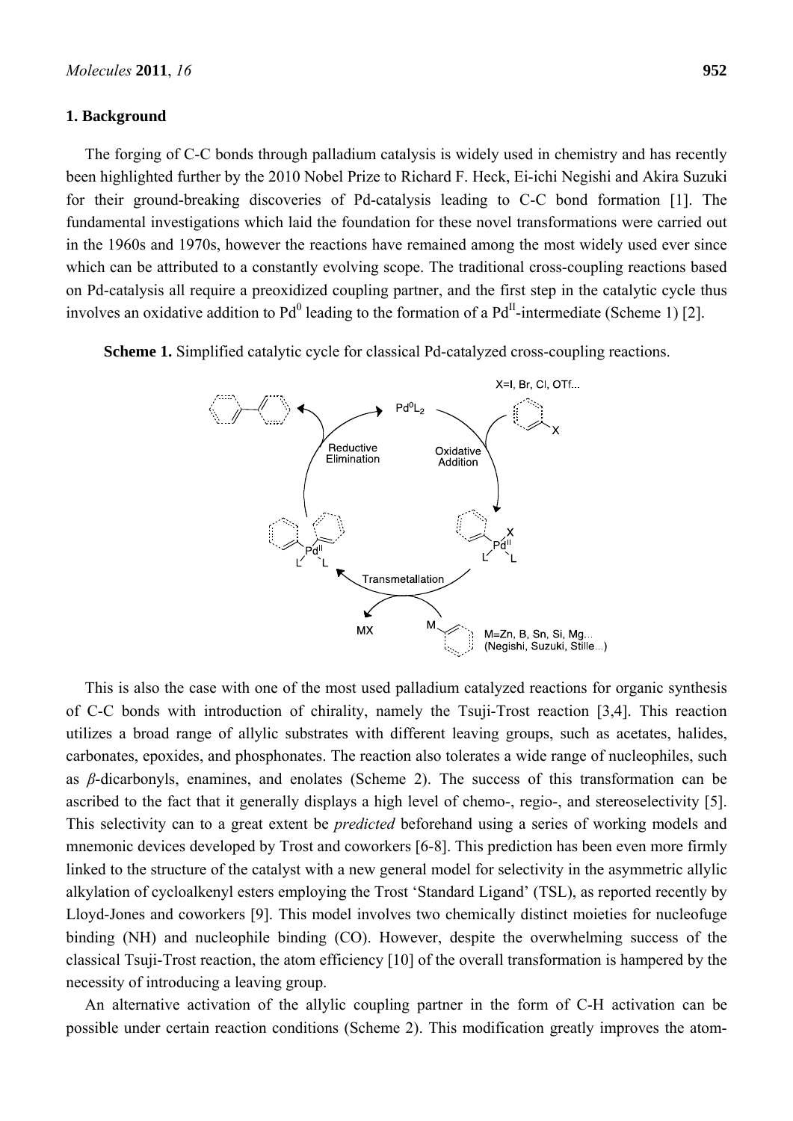#### **1. Background**

The forging of C-C bonds through palladium catalysis is widely used in chemistry and has recently been highlighted further by the 2010 Nobel Prize to Richard F. Heck, Ei-ichi Negishi and Akira Suzuki for their ground-breaking discoveries of Pd-catalysis leading to C-C bond formation [1]. The fundamental investigations which laid the foundation for these novel transformations were carried out in the 1960s and 1970s, however the reactions have remained among the most widely used ever since which can be attributed to a constantly evolving scope. The traditional cross-coupling reactions based on Pd-catalysis all require a preoxidized coupling partner, and the first step in the catalytic cycle thus involves an oxidative addition to  $Pd^0$  leading to the formation of a  $Pd^{\text{II}}$ -intermediate (Scheme 1) [2].

**Scheme 1.** Simplified catalytic cycle for classical Pd-catalyzed cross-coupling reactions.



This is also the case with one of the most used palladium catalyzed reactions for organic synthesis of C-C bonds with introduction of chirality, namely the Tsuji-Trost reaction [3,4]. This reaction utilizes a broad range of allylic substrates with different leaving groups, such as acetates, halides, carbonates, epoxides, and phosphonates. The reaction also tolerates a wide range of nucleophiles, such as *β*-dicarbonyls, enamines, and enolates (Scheme 2). The success of this transformation can be ascribed to the fact that it generally displays a high level of chemo-, regio-, and stereoselectivity [5]. This selectivity can to a great extent be *predicted* beforehand using a series of working models and mnemonic devices developed by Trost and coworkers [6-8]. This prediction has been even more firmly linked to the structure of the catalyst with a new general model for selectivity in the asymmetric allylic alkylation of cycloalkenyl esters employing the Trost 'Standard Ligand' (TSL), as reported recently by Lloyd-Jones and coworkers [9]. This model involves two chemically distinct moieties for nucleofuge binding (NH) and nucleophile binding (CO). However, despite the overwhelming success of the classical Tsuji-Trost reaction, the atom efficiency [10] of the overall transformation is hampered by the necessity of introducing a leaving group.

An alternative activation of the allylic coupling partner in the form of C-H activation can be possible under certain reaction conditions (Scheme 2). This modification greatly improves the atom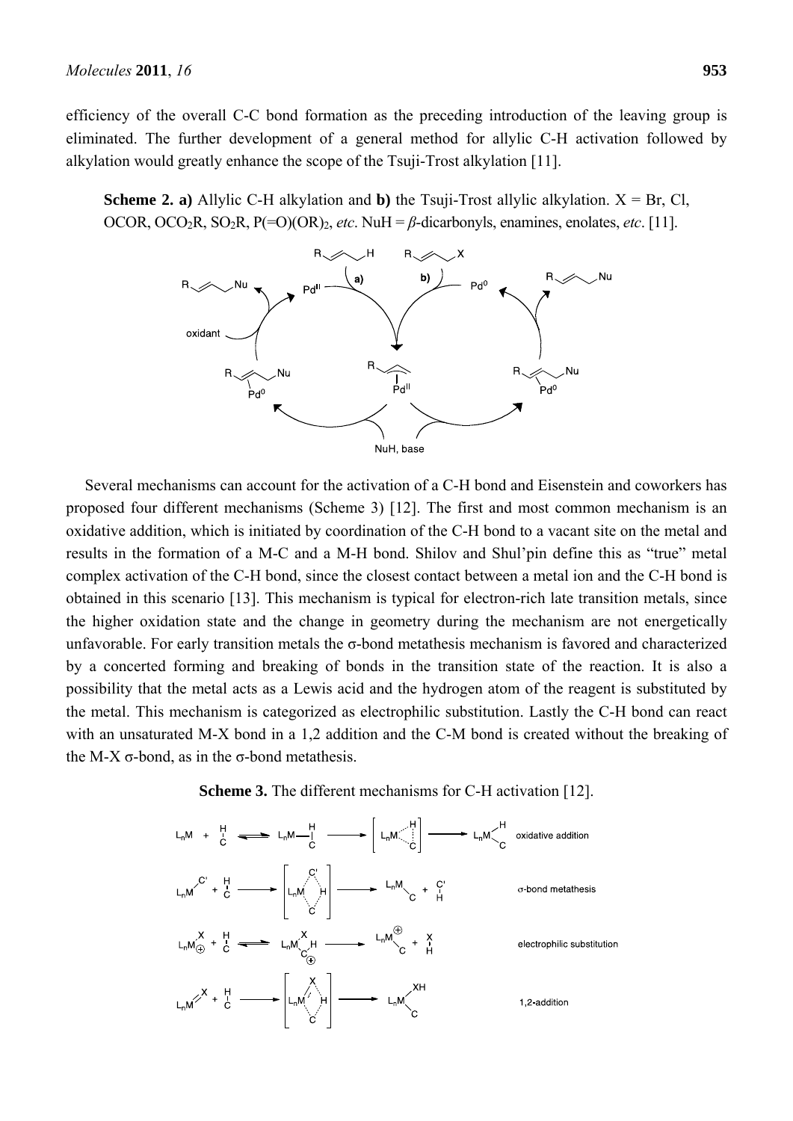efficiency of the overall C-C bond formation as the preceding introduction of the leaving group is eliminated. The further development of a general method for allylic C-H activation followed by alkylation would greatly enhance the scope of the Tsuji-Trost alkylation [11].

**Scheme 2. a)** Allylic C-H alkylation and **b**) the Tsuji-Trost allylic alkylation.  $X = Br$ , Cl, OCOR, OCO<sub>2</sub>R, SO<sub>2</sub>R, P(=O)(OR)<sub>2</sub>, *etc*. NuH =  $\beta$ -dicarbonyls, enamines, enolates, *etc*. [11].



Several mechanisms can account for the activation of a C-H bond and Eisenstein and coworkers has proposed four different mechanisms (Scheme 3) [12]. The first and most common mechanism is an oxidative addition, which is initiated by coordination of the C-H bond to a vacant site on the metal and results in the formation of a M-C and a M-H bond. Shilov and Shul'pin define this as "true" metal complex activation of the C-H bond, since the closest contact between a metal ion and the C-H bond is obtained in this scenario [13]. This mechanism is typical for electron-rich late transition metals, since the higher oxidation state and the change in geometry during the mechanism are not energetically unfavorable. For early transition metals the  $\sigma$ -bond metathesis mechanism is favored and characterized by a concerted forming and breaking of bonds in the transition state of the reaction. It is also a possibility that the metal acts as a Lewis acid and the hydrogen atom of the reagent is substituted by the metal. This mechanism is categorized as electrophilic substitution. Lastly the C-H bond can react with an unsaturated M-X bond in a 1,2 addition and the C-M bond is created without the breaking of the M-X σ-bond, as in the σ-bond metathesis.

**Scheme 3.** The different mechanisms for C-H activation [12].

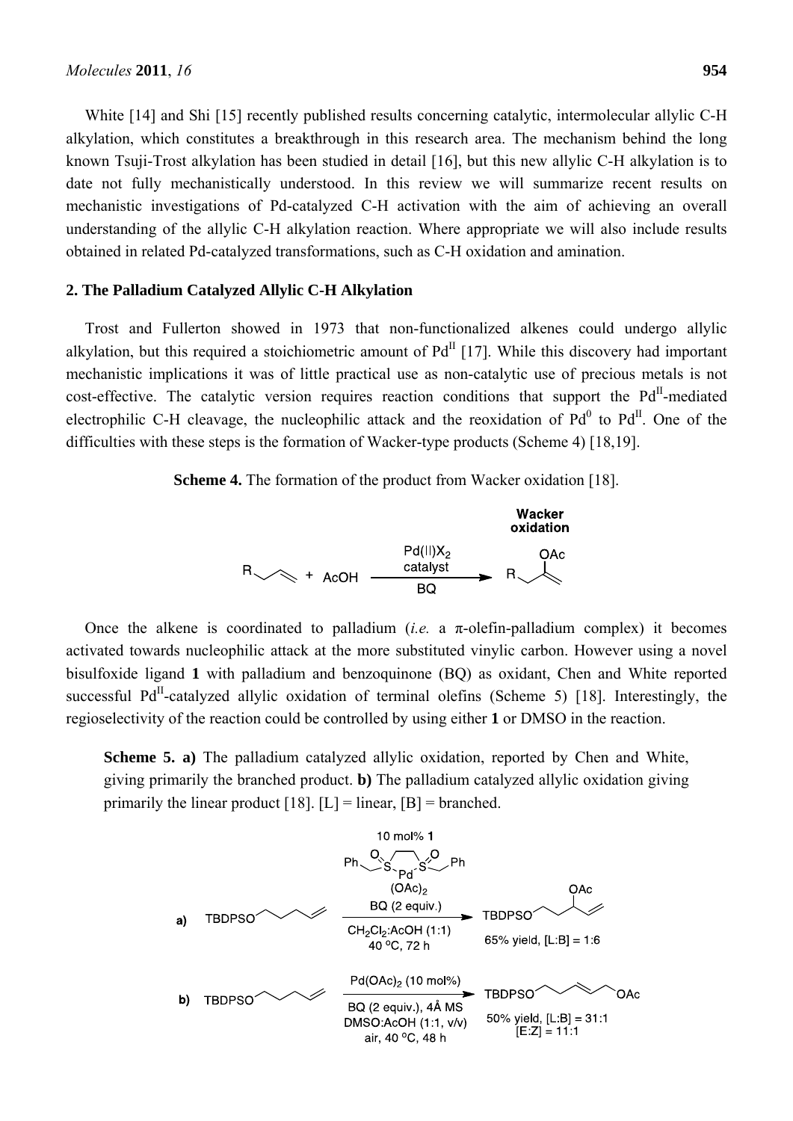White [14] and Shi [15] recently published results concerning catalytic, intermolecular allylic C-H alkylation, which constitutes a breakthrough in this research area. The mechanism behind the long known Tsuji-Trost alkylation has been studied in detail [16], but this new allylic C-H alkylation is to date not fully mechanistically understood. In this review we will summarize recent results on mechanistic investigations of Pd-catalyzed C-H activation with the aim of achieving an overall understanding of the allylic C-H alkylation reaction. Where appropriate we will also include results obtained in related Pd-catalyzed transformations, such as C-H oxidation and amination.

#### **2. The Palladium Catalyzed Allylic C-H Alkylation**

Trost and Fullerton showed in 1973 that non-functionalized alkenes could undergo allylic alkylation, but this required a stoichiometric amount of  $Pd<sup>II</sup>$  [17]. While this discovery had important mechanistic implications it was of little practical use as non-catalytic use of precious metals is not cost-effective. The catalytic version requires reaction conditions that support the  $Pd<sup>H</sup>$ -mediated electrophilic C-H cleavage, the nucleophilic attack and the reoxidation of  $Pd^{0}$  to  $Pd^{II}$ . One of the difficulties with these steps is the formation of Wacker-type products (Scheme 4) [18,19].

**Scheme 4.** The formation of the product from Wacker oxidation [18].



Once the alkene is coordinated to palladium (*i.e.* a π-olefin-palladium complex) it becomes activated towards nucleophilic attack at the more substituted vinylic carbon. However using a novel bisulfoxide ligand **1** with palladium and benzoquinone (BQ) as oxidant, Chen and White reported successful  $Pd<sup>II</sup>$ -catalyzed allylic oxidation of terminal olefins (Scheme 5) [18]. Interestingly, the regioselectivity of the reaction could be controlled by using either **1** or DMSO in the reaction.

**Scheme 5. a)** The palladium catalyzed allylic oxidation, reported by Chen and White, giving primarily the branched product. **b)** The palladium catalyzed allylic oxidation giving primarily the linear product [18].  $[L]$  = linear,  $[B]$  = branched.

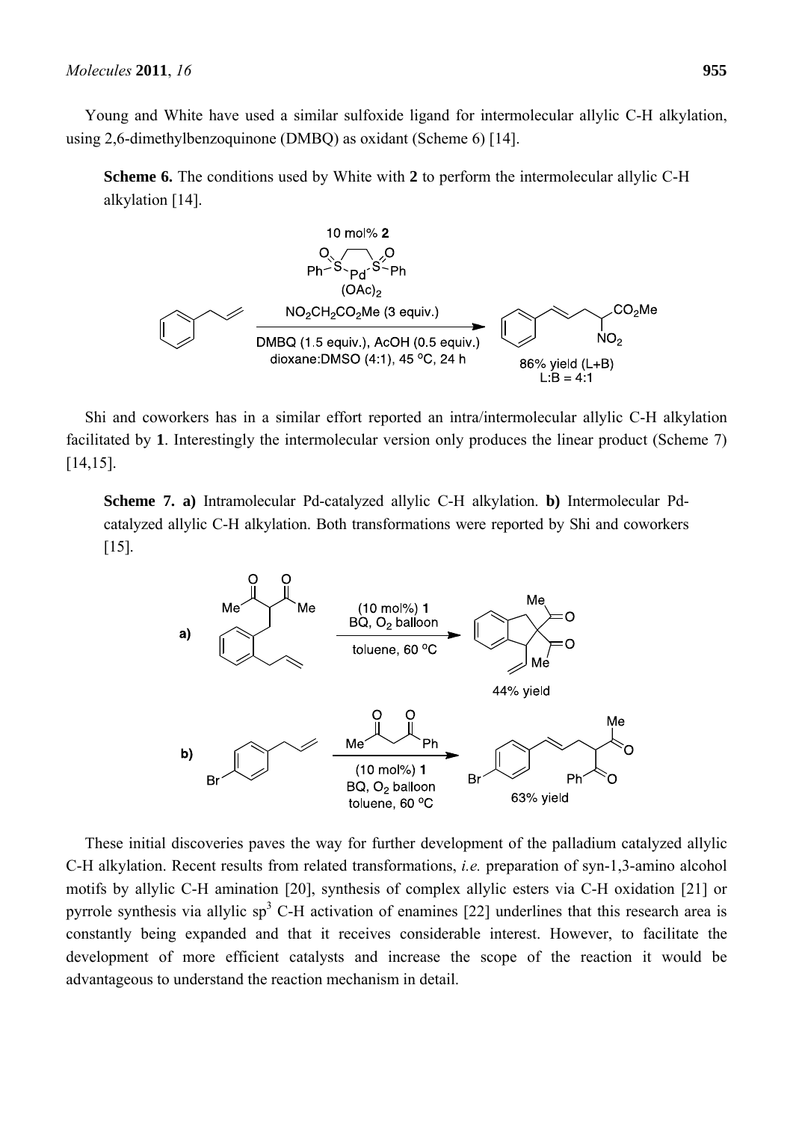Young and White have used a similar sulfoxide ligand for intermolecular allylic C-H alkylation, using 2,6-dimethylbenzoquinone (DMBQ) as oxidant (Scheme 6) [14].

**Scheme 6.** The conditions used by White with **2** to perform the intermolecular allylic C-H alkylation [14].



Shi and coworkers has in a similar effort reported an intra/intermolecular allylic C-H alkylation facilitated by **1**. Interestingly the intermolecular version only produces the linear product (Scheme 7) [14,15].

**Scheme 7. a)** Intramolecular Pd-catalyzed allylic C-H alkylation. **b)** Intermolecular Pdcatalyzed allylic C-H alkylation. Both transformations were reported by Shi and coworkers [15].



These initial discoveries paves the way for further development of the palladium catalyzed allylic C-H alkylation. Recent results from related transformations, *i.e.* preparation of syn-1,3-amino alcohol motifs by allylic C-H amination [20], synthesis of complex allylic esters via C-H oxidation [21] or pyrrole synthesis via allylic sp<sup>3</sup> C-H activation of enamines [22] underlines that this research area is constantly being expanded and that it receives considerable interest. However, to facilitate the development of more efficient catalysts and increase the scope of the reaction it would be advantageous to understand the reaction mechanism in detail.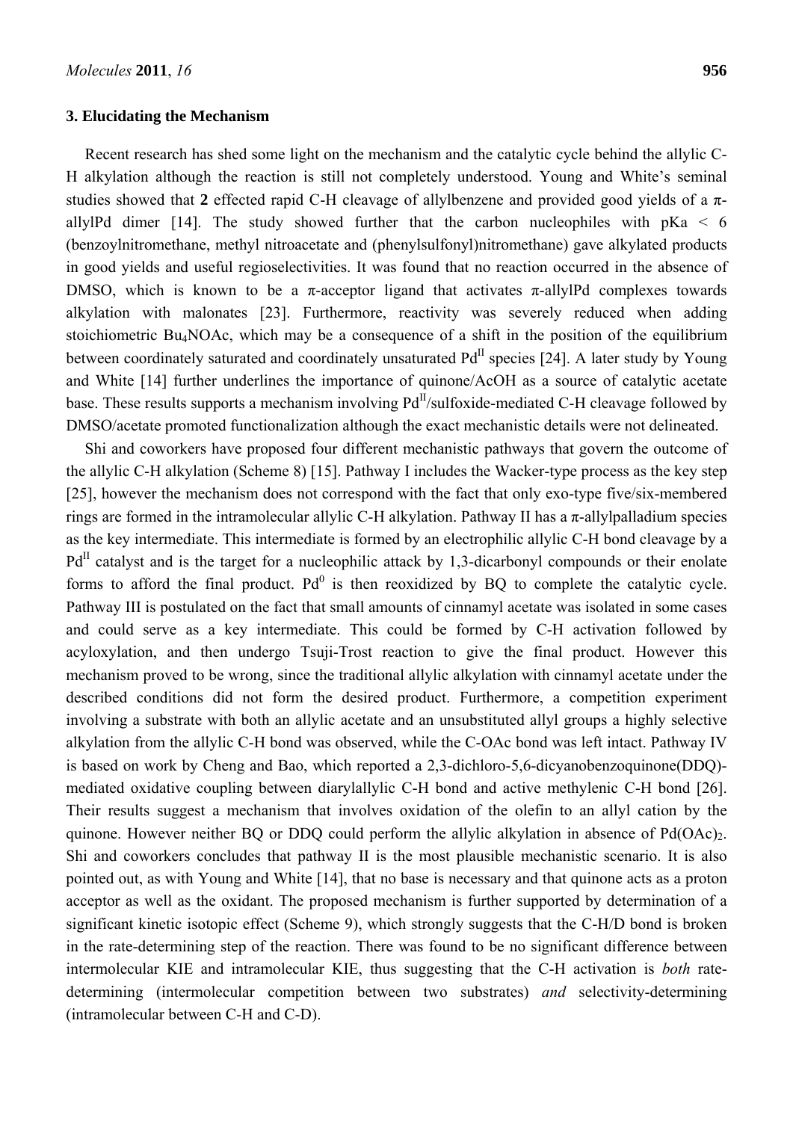#### **3. Elucidating the Mechanism**

Recent research has shed some light on the mechanism and the catalytic cycle behind the allylic C-H alkylation although the reaction is still not completely understood. Young and White's seminal studies showed that **2** effected rapid C-H cleavage of allylbenzene and provided good yields of a πallylPd dimer [14]. The study showed further that the carbon nucleophiles with  $pKa < 6$ (benzoylnitromethane, methyl nitroacetate and (phenylsulfonyl)nitromethane) gave alkylated products in good yields and useful regioselectivities. It was found that no reaction occurred in the absence of DMSO, which is known to be a  $\pi$ -acceptor ligand that activates  $\pi$ -allylPd complexes towards alkylation with malonates [23]. Furthermore, reactivity was severely reduced when adding stoichiometric Bu4NOAc, which may be a consequence of a shift in the position of the equilibrium between coordinately saturated and coordinately unsaturated  $Pd<sup>H</sup>$  species [24]. A later study by Young and White [14] further underlines the importance of quinone/AcOH as a source of catalytic acetate base. These results supports a mechanism involving Pd<sup>II</sup>/sulfoxide-mediated C-H cleavage followed by DMSO/acetate promoted functionalization although the exact mechanistic details were not delineated.

Shi and coworkers have proposed four different mechanistic pathways that govern the outcome of the allylic C-H alkylation (Scheme 8) [15]. Pathway I includes the Wacker-type process as the key step [25], however the mechanism does not correspond with the fact that only exo-type five/six-membered rings are formed in the intramolecular allylic C-H alkylation. Pathway II has a π-allylpalladium species as the key intermediate. This intermediate is formed by an electrophilic allylic C-H bond cleavage by a  $Pd<sup>H</sup>$  catalyst and is the target for a nucleophilic attack by 1,3-dicarbonyl compounds or their enolate forms to afford the final product.  $Pd^0$  is then reoxidized by BQ to complete the catalytic cycle. Pathway III is postulated on the fact that small amounts of cinnamyl acetate was isolated in some cases and could serve as a key intermediate. This could be formed by C-H activation followed by acyloxylation, and then undergo Tsuji-Trost reaction to give the final product. However this mechanism proved to be wrong, since the traditional allylic alkylation with cinnamyl acetate under the described conditions did not form the desired product. Furthermore, a competition experiment involving a substrate with both an allylic acetate and an unsubstituted allyl groups a highly selective alkylation from the allylic C-H bond was observed, while the C-OAc bond was left intact. Pathway IV is based on work by Cheng and Bao, which reported a 2,3-dichloro-5,6-dicyanobenzoquinone(DDQ) mediated oxidative coupling between diarylallylic C-H bond and active methylenic C-H bond [26]. Their results suggest a mechanism that involves oxidation of the olefin to an allyl cation by the quinone. However neither BQ or DDQ could perform the allylic alkylation in absence of  $Pd(OAc)<sub>2</sub>$ . Shi and coworkers concludes that pathway II is the most plausible mechanistic scenario. It is also pointed out, as with Young and White [14], that no base is necessary and that quinone acts as a proton acceptor as well as the oxidant. The proposed mechanism is further supported by determination of a significant kinetic isotopic effect (Scheme 9), which strongly suggests that the C-H/D bond is broken in the rate-determining step of the reaction. There was found to be no significant difference between intermolecular KIE and intramolecular KIE, thus suggesting that the C-H activation is *both* ratedetermining (intermolecular competition between two substrates) *and* selectivity-determining (intramolecular between C-H and C-D).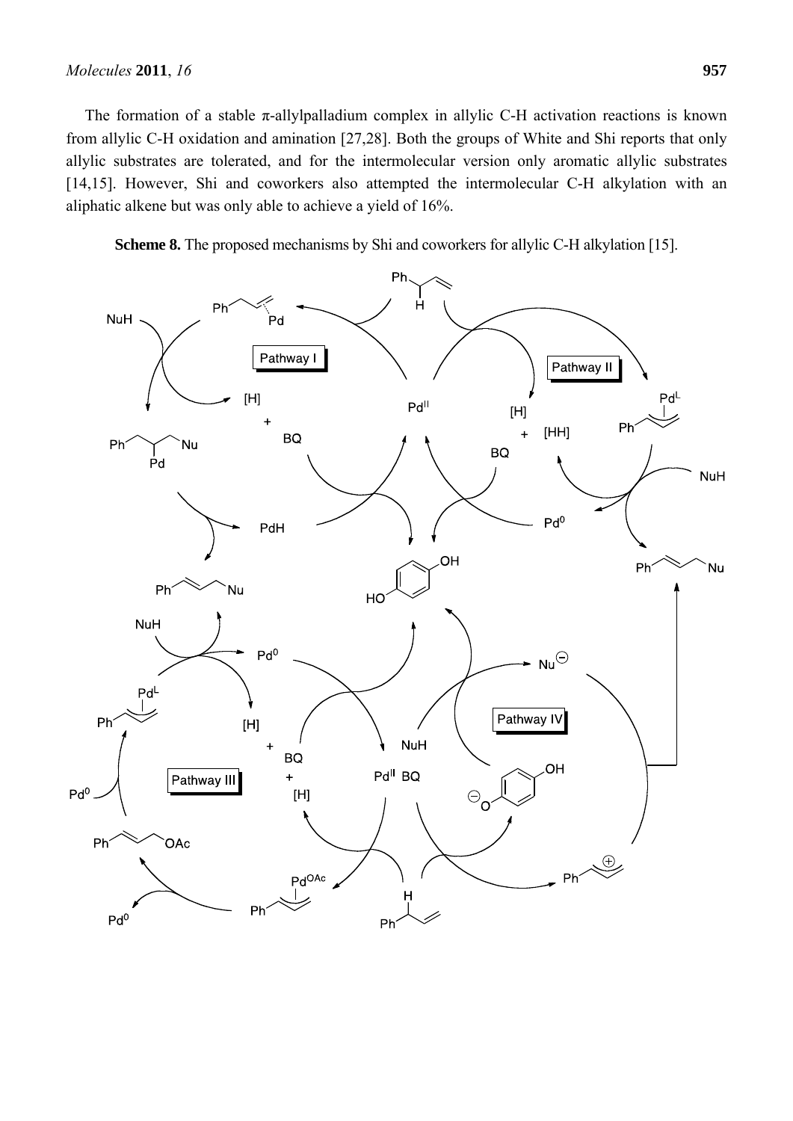The formation of a stable  $\pi$ -allylpalladium complex in allylic C-H activation reactions is known from allylic C-H oxidation and amination [27,28]. Both the groups of White and Shi reports that only allylic substrates are tolerated, and for the intermolecular version only aromatic allylic substrates [14,15]. However, Shi and coworkers also attempted the intermolecular C-H alkylation with an aliphatic alkene but was only able to achieve a yield of 16%.

**Scheme 8.** The proposed mechanisms by Shi and coworkers for allylic C-H alkylation [15].

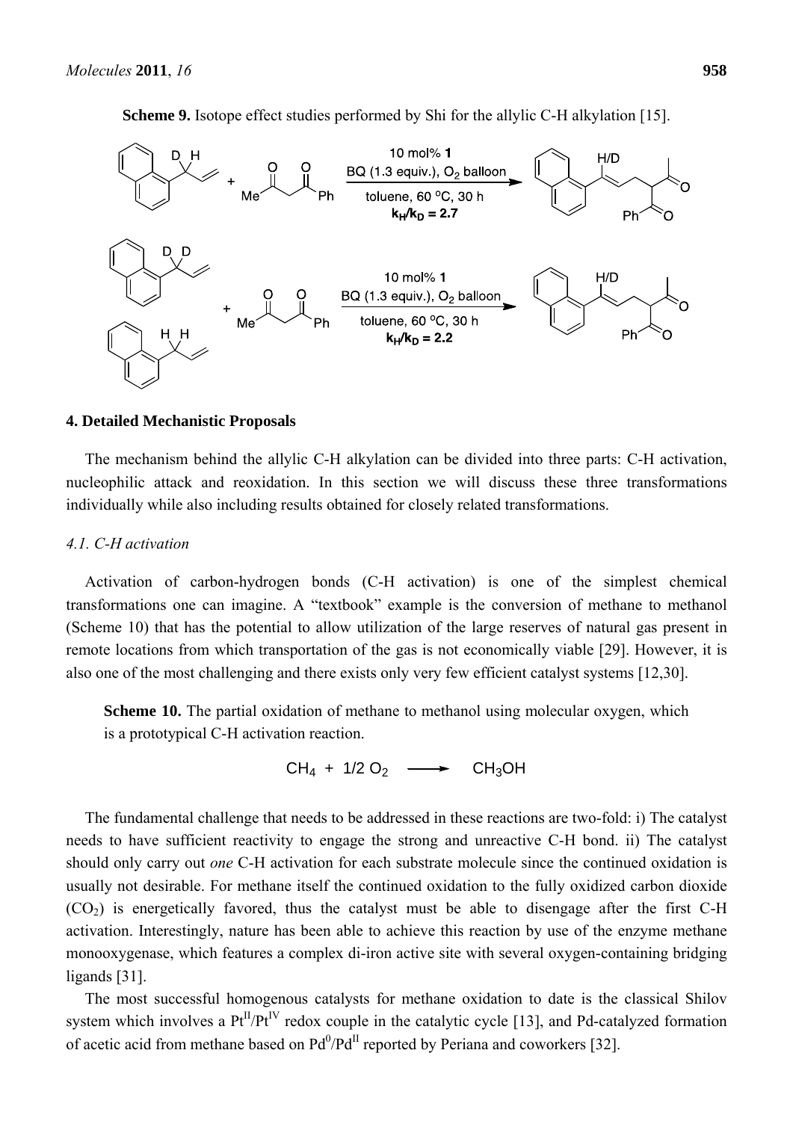**Scheme 9.** Isotope effect studies performed by Shi for the allylic C-H alkylation [15].



#### **4. Detailed Mechanistic Proposals**

The mechanism behind the allylic C-H alkylation can be divided into three parts: C-H activation, nucleophilic attack and reoxidation. In this section we will discuss these three transformations individually while also including results obtained for closely related transformations.

#### *4.1. C-H activation*

Activation of carbon-hydrogen bonds (C-H activation) is one of the simplest chemical transformations one can imagine. A "textbook" example is the conversion of methane to methanol (Scheme 10) that has the potential to allow utilization of the large reserves of natural gas present in remote locations from which transportation of the gas is not economically viable [29]. However, it is also one of the most challenging and there exists only very few efficient catalyst systems [12,30].

**Scheme 10.** The partial oxidation of methane to methanol using molecular oxygen, which is a prototypical C-H activation reaction.

 $CH_4$  + 1/2 O<sub>2</sub>  $\longrightarrow$  CH<sub>3</sub>OH

The fundamental challenge that needs to be addressed in these reactions are two-fold: i) The catalyst needs to have sufficient reactivity to engage the strong and unreactive C-H bond. ii) The catalyst should only carry out *one* C-H activation for each substrate molecule since the continued oxidation is usually not desirable. For methane itself the continued oxidation to the fully oxidized carbon dioxide  $(CO<sub>2</sub>)$  is energetically favored, thus the catalyst must be able to disengage after the first C-H activation. Interestingly, nature has been able to achieve this reaction by use of the enzyme methane monooxygenase, which features a complex di-iron active site with several oxygen-containing bridging ligands [31].

The most successful homogenous catalysts for methane oxidation to date is the classical Shilov system which involves a  $Pt^{II}/Pt^{IV}$  redox couple in the catalytic cycle [13], and Pd-catalyzed formation of acetic acid from methane based on  $Pd^{0}/Pd^{II}$  reported by Periana and coworkers [32].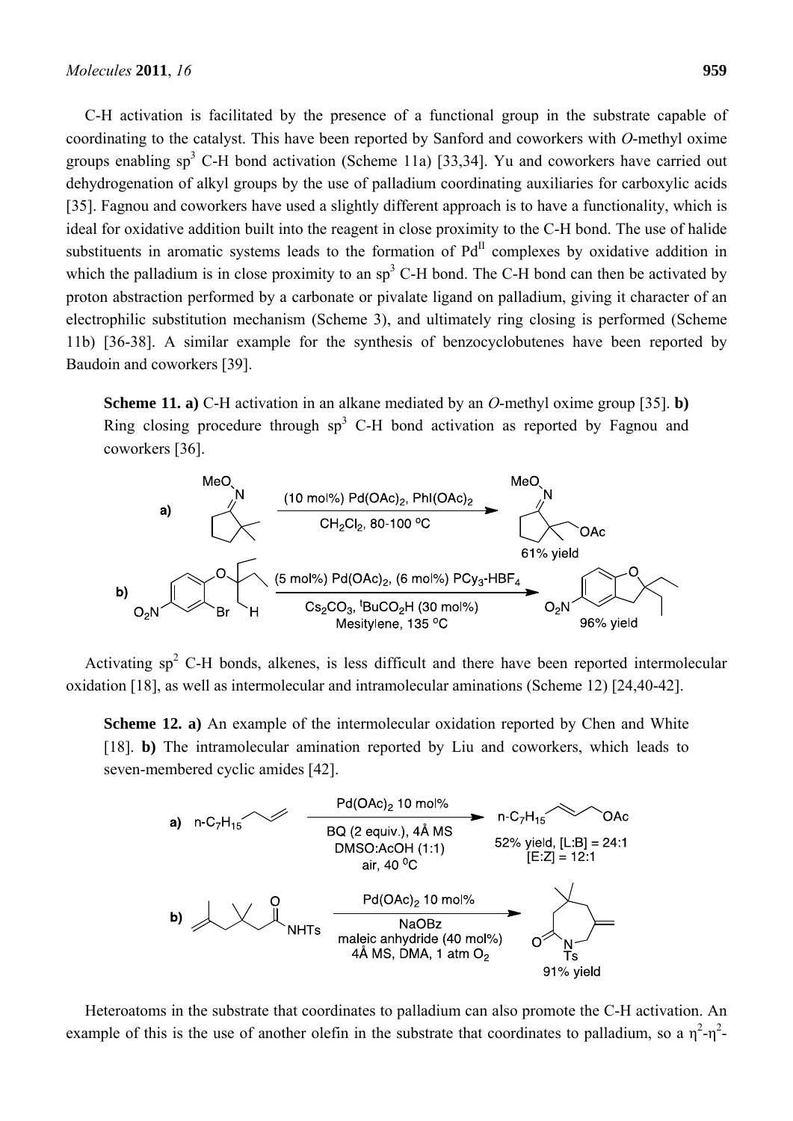C-H activation is facilitated by the presence of a functional group in the substrate capable of coordinating to the catalyst. This have been reported by Sanford and coworkers with *O*-methyl oxime groups enabling  $sp^3$  C-H bond activation (Scheme 11a) [33,34]. Yu and coworkers have carried out dehydrogenation of alkyl groups by the use of palladium coordinating auxiliaries for carboxylic acids [35]. Fagnou and coworkers have used a slightly different approach is to have a functionality, which is ideal for oxidative addition built into the reagent in close proximity to the C-H bond. The use of halide substituents in aromatic systems leads to the formation of  $Pd<sup>H</sup>$  complexes by oxidative addition in which the palladium is in close proximity to an  $sp<sup>3</sup>$  C-H bond. The C-H bond can then be activated by proton abstraction performed by a carbonate or pivalate ligand on palladium, giving it character of an electrophilic substitution mechanism (Scheme 3), and ultimately ring closing is performed (Scheme 11b) [36-38]. A similar example for the synthesis of benzocyclobutenes have been reported by Baudoin and coworkers [39].

**Scheme 11. a)** C-H activation in an alkane mediated by an *O*-methyl oxime group [35]. **b)** Ring closing procedure through  $sp<sup>3</sup>$  C-H bond activation as reported by Fagnou and coworkers [36].



Activating  $sp<sup>2</sup>$  C-H bonds, alkenes, is less difficult and there have been reported intermolecular oxidation [18], as well as intermolecular and intramolecular aminations (Scheme 12) [24,40-42].

**Scheme 12. a**) An example of the intermolecular oxidation reported by Chen and White [18]. **b**) The intramolecular amination reported by Liu and coworkers, which leads to seven-membered cyclic amides [42].



Heteroatoms in the substrate that coordinates to palladium can also promote the C-H activation. An example of this is the use of another olefin in the substrate that coordinates to palladium, so a  $\eta^2$ - $\eta^2$ -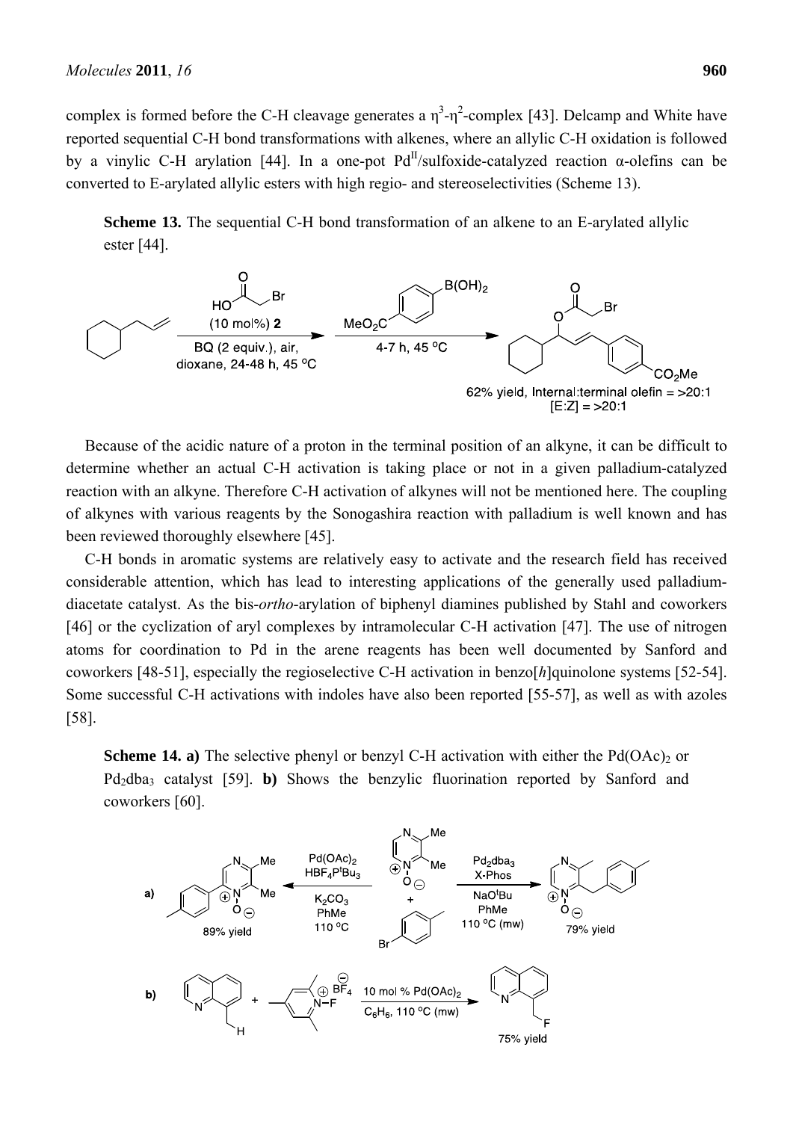complex is formed before the C-H cleavage generates a  $\eta^3$ - $\eta^2$ -complex [43]. Delcamp and White have reported sequential C-H bond transformations with alkenes, where an allylic C-H oxidation is followed by a vinylic C-H arylation [44]. In a one-pot  $Pd<sup>H</sup>/sulfoxide-catalyzed reaction \alpha-olefins can be$ converted to E-arylated allylic esters with high regio- and stereoselectivities (Scheme 13).

**Scheme 13.** The sequential C-H bond transformation of an alkene to an E-arylated allylic ester [44].



Because of the acidic nature of a proton in the terminal position of an alkyne, it can be difficult to determine whether an actual C-H activation is taking place or not in a given palladium-catalyzed reaction with an alkyne. Therefore C-H activation of alkynes will not be mentioned here. The coupling of alkynes with various reagents by the Sonogashira reaction with palladium is well known and has been reviewed thoroughly elsewhere [45].

C-H bonds in aromatic systems are relatively easy to activate and the research field has received considerable attention, which has lead to interesting applications of the generally used palladiumdiacetate catalyst. As the bis-*ortho*-arylation of biphenyl diamines published by Stahl and coworkers [46] or the cyclization of aryl complexes by intramolecular C-H activation [47]. The use of nitrogen atoms for coordination to Pd in the arene reagents has been well documented by Sanford and coworkers [48-51], especially the regioselective C-H activation in benzo[*h*]quinolone systems [52-54]. Some successful C-H activations with indoles have also been reported [55-57], as well as with azoles [58].

**Scheme 14. a)** The selective phenyl or benzyl C-H activation with either the  $Pd(OAc)_{2}$  or Pd<sub>2</sub>dba<sub>3</sub> catalyst [59]. **b**) Shows the benzylic fluorination reported by Sanford and coworkers [60].

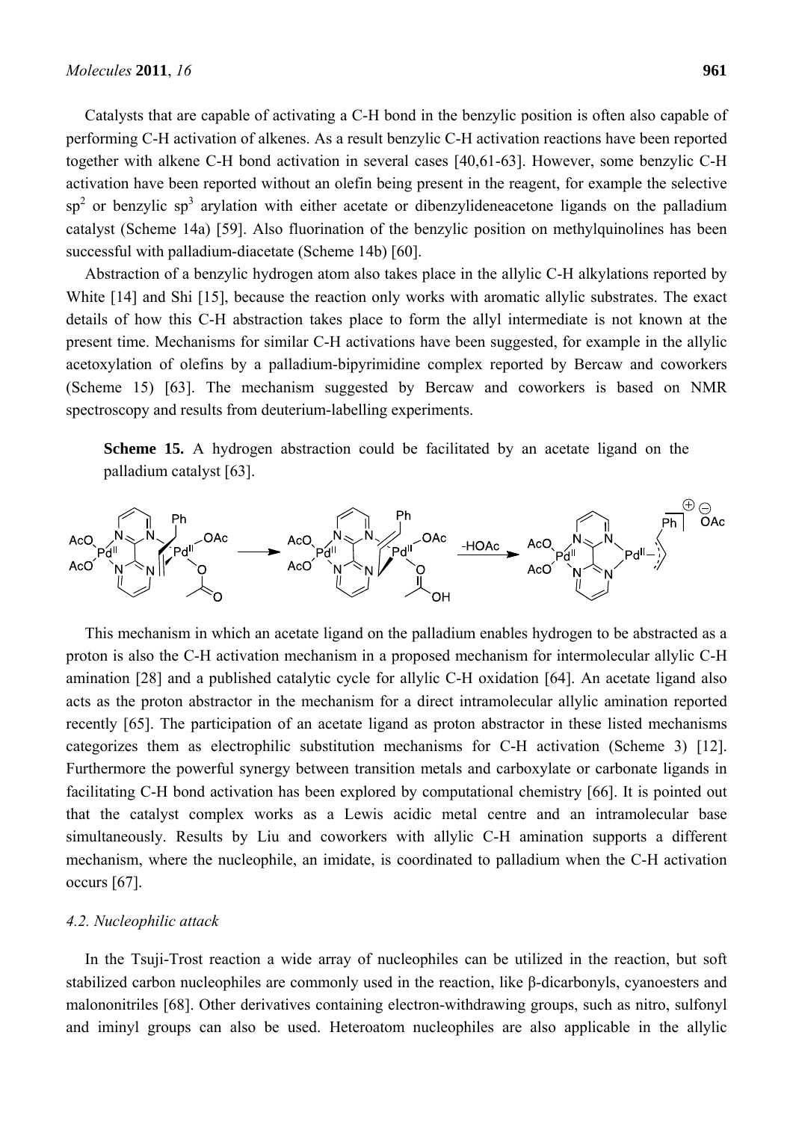Catalysts that are capable of activating a C-H bond in the benzylic position is often also capable of performing C-H activation of alkenes. As a result benzylic C-H activation reactions have been reported together with alkene C-H bond activation in several cases [40,61-63]. However, some benzylic C-H activation have been reported without an olefin being present in the reagent, for example the selective  $sp<sup>2</sup>$  or benzylic sp<sup>3</sup> arylation with either acetate or dibenzylideneacetone ligands on the palladium catalyst (Scheme 14a) [59]. Also fluorination of the benzylic position on methylquinolines has been successful with palladium-diacetate (Scheme 14b) [60].

Abstraction of a benzylic hydrogen atom also takes place in the allylic C-H alkylations reported by White [14] and Shi [15], because the reaction only works with aromatic allylic substrates. The exact details of how this C-H abstraction takes place to form the allyl intermediate is not known at the present time. Mechanisms for similar C-H activations have been suggested, for example in the allylic acetoxylation of olefins by a palladium-bipyrimidine complex reported by Bercaw and coworkers (Scheme 15) [63]. The mechanism suggested by Bercaw and coworkers is based on NMR spectroscopy and results from deuterium-labelling experiments.

**Scheme 15.** A hydrogen abstraction could be facilitated by an acetate ligand on the palladium catalyst [63].



This mechanism in which an acetate ligand on the palladium enables hydrogen to be abstracted as a proton is also the C-H activation mechanism in a proposed mechanism for intermolecular allylic C-H amination [28] and a published catalytic cycle for allylic C-H oxidation [64]. An acetate ligand also acts as the proton abstractor in the mechanism for a direct intramolecular allylic amination reported recently [65]. The participation of an acetate ligand as proton abstractor in these listed mechanisms categorizes them as electrophilic substitution mechanisms for C-H activation (Scheme 3) [12]. Furthermore the powerful synergy between transition metals and carboxylate or carbonate ligands in facilitating C-H bond activation has been explored by computational chemistry [66]. It is pointed out that the catalyst complex works as a Lewis acidic metal centre and an intramolecular base simultaneously. Results by Liu and coworkers with allylic C-H amination supports a different mechanism, where the nucleophile, an imidate, is coordinated to palladium when the C-H activation occurs [67].

#### *4.2. Nucleophilic attack*

In the Tsuji-Trost reaction a wide array of nucleophiles can be utilized in the reaction, but soft stabilized carbon nucleophiles are commonly used in the reaction, like β-dicarbonyls, cyanoesters and malononitriles [68]. Other derivatives containing electron-withdrawing groups, such as nitro, sulfonyl and iminyl groups can also be used. Heteroatom nucleophiles are also applicable in the allylic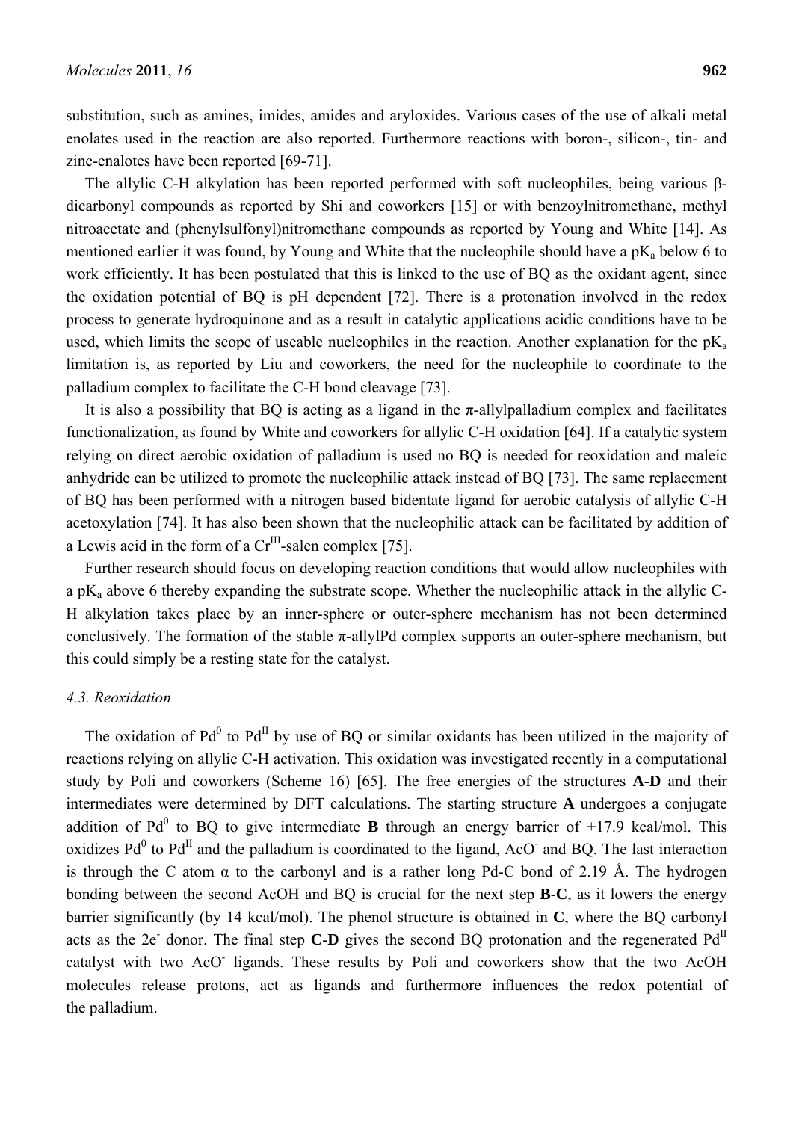substitution, such as amines, imides, amides and aryloxides. Various cases of the use of alkali metal enolates used in the reaction are also reported. Furthermore reactions with boron-, silicon-, tin- and zinc-enalotes have been reported [69-71].

The allylic C-H alkylation has been reported performed with soft nucleophiles, being various βdicarbonyl compounds as reported by Shi and coworkers [15] or with benzoylnitromethane, methyl nitroacetate and (phenylsulfonyl)nitromethane compounds as reported by Young and White [14]. As mentioned earlier it was found, by Young and White that the nucleophile should have a  $pK_a$  below 6 to work efficiently. It has been postulated that this is linked to the use of BQ as the oxidant agent, since the oxidation potential of BQ is pH dependent [72]. There is a protonation involved in the redox process to generate hydroquinone and as a result in catalytic applications acidic conditions have to be used, which limits the scope of useable nucleophiles in the reaction. Another explanation for the  $pK_a$ limitation is, as reported by Liu and coworkers, the need for the nucleophile to coordinate to the palladium complex to facilitate the C-H bond cleavage [73].

It is also a possibility that BQ is acting as a ligand in the  $\pi$ -allylpalladium complex and facilitates functionalization, as found by White and coworkers for allylic C-H oxidation [64]. If a catalytic system relying on direct aerobic oxidation of palladium is used no BQ is needed for reoxidation and maleic anhydride can be utilized to promote the nucleophilic attack instead of BQ [73]. The same replacement of BQ has been performed with a nitrogen based bidentate ligand for aerobic catalysis of allylic C-H acetoxylation [74]. It has also been shown that the nucleophilic attack can be facilitated by addition of a Lewis acid in the form of a  $Cr^{III}$ -salen complex [75].

Further research should focus on developing reaction conditions that would allow nucleophiles with a pKa above 6 thereby expanding the substrate scope. Whether the nucleophilic attack in the allylic C-H alkylation takes place by an inner-sphere or outer-sphere mechanism has not been determined conclusively. The formation of the stable  $\pi$ -allylPd complex supports an outer-sphere mechanism, but this could simply be a resting state for the catalyst.

#### *4.3. Reoxidation*

The oxidation of  $Pd^{0}$  to  $Pd^{II}$  by use of BQ or similar oxidants has been utilized in the majority of reactions relying on allylic C-H activation. This oxidation was investigated recently in a computational study by Poli and coworkers (Scheme 16) [65]. The free energies of the structures **A**-**D** and their intermediates were determined by DFT calculations. The starting structure **A** undergoes a conjugate addition of Pd<sup>0</sup> to BQ to give intermediate **B** through an energy barrier of  $+17.9$  kcal/mol. This oxidizes  $Pd^0$  to  $Pd^{\text{II}}$  and the palladium is coordinated to the ligand, AcO and BQ. The last interaction is through the C atom  $\alpha$  to the carbonyl and is a rather long Pd-C bond of 2.19 Å. The hydrogen bonding between the second AcOH and BQ is crucial for the next step **B**-**C**, as it lowers the energy barrier significantly (by 14 kcal/mol). The phenol structure is obtained in **C**, where the BQ carbonyl acts as the 2e<sup>-</sup> donor. The final step **C-D** gives the second BQ protonation and the regenerated  $Pd<sup>II</sup>$ catalyst with two AcO<sup>-</sup> ligands. These results by Poli and coworkers show that the two AcOH molecules release protons, act as ligands and furthermore influences the redox potential of the palladium.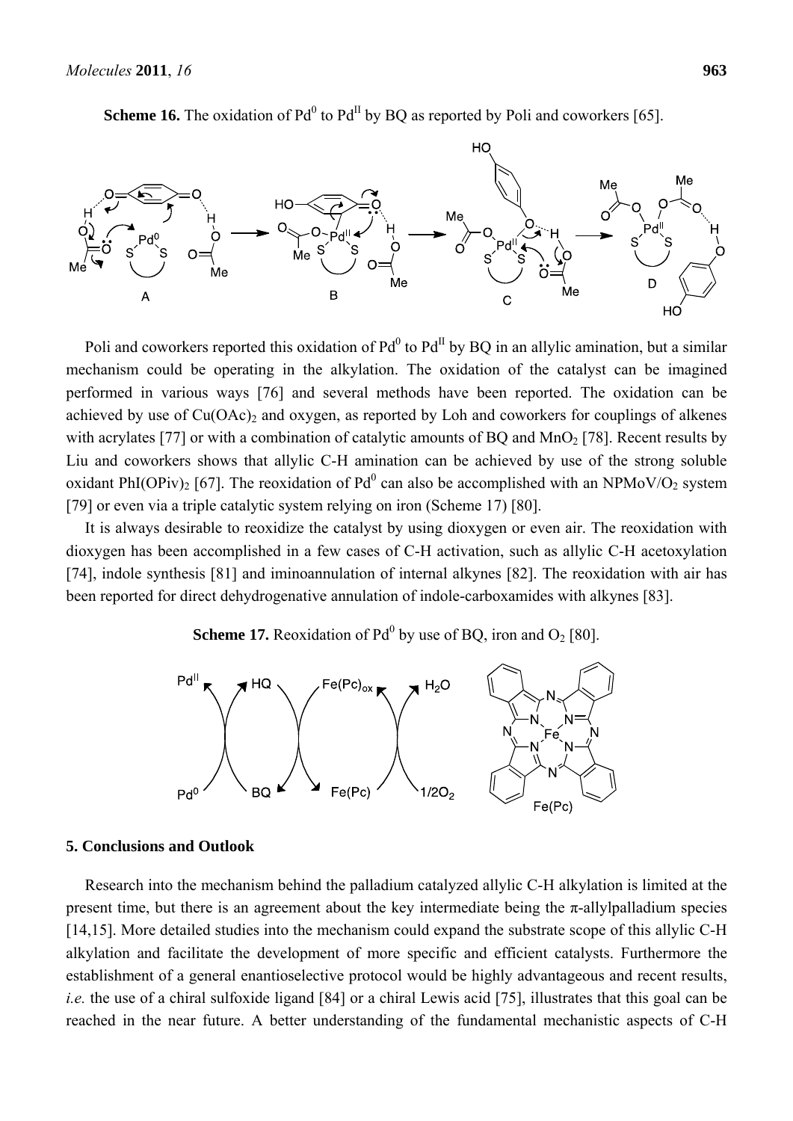

**Scheme 16.** The oxidation of  $Pd^0$  to  $Pd^{\text{II}}$  by BQ as reported by Poli and coworkers [65].

Poli and coworkers reported this oxidation of  $Pd^0$  to  $Pd^{\text{II}}$  by BQ in an allylic amination, but a similar mechanism could be operating in the alkylation. The oxidation of the catalyst can be imagined performed in various ways [76] and several methods have been reported. The oxidation can be achieved by use of  $Cu(OAc)_{2}$  and oxygen, as reported by Loh and coworkers for couplings of alkenes with acrylates [77] or with a combination of catalytic amounts of BQ and  $MnO<sub>2</sub>$  [78]. Recent results by Liu and coworkers shows that allylic C-H amination can be achieved by use of the strong soluble oxidant PhI(OPiv)<sub>2</sub> [67]. The reoxidation of Pd<sup>0</sup> can also be accomplished with an NPMoV/O<sub>2</sub> system [79] or even via a triple catalytic system relying on iron (Scheme 17) [80].

It is always desirable to reoxidize the catalyst by using dioxygen or even air. The reoxidation with dioxygen has been accomplished in a few cases of C-H activation, such as allylic C-H acetoxylation [74], indole synthesis [81] and iminoannulation of internal alkynes [82]. The reoxidation with air has been reported for direct dehydrogenative annulation of indole-carboxamides with alkynes [83].

## **Scheme 17.** Reoxidation of  $Pd^0$  by use of BQ, iron and  $O_2$  [80].



#### **5. Conclusions and Outlook**

Research into the mechanism behind the palladium catalyzed allylic C-H alkylation is limited at the present time, but there is an agreement about the key intermediate being the  $\pi$ -allylpalladium species [14,15]. More detailed studies into the mechanism could expand the substrate scope of this allylic C-H alkylation and facilitate the development of more specific and efficient catalysts. Furthermore the establishment of a general enantioselective protocol would be highly advantageous and recent results, *i.e.* the use of a chiral sulfoxide ligand [84] or a chiral Lewis acid [75], illustrates that this goal can be reached in the near future. A better understanding of the fundamental mechanistic aspects of C-H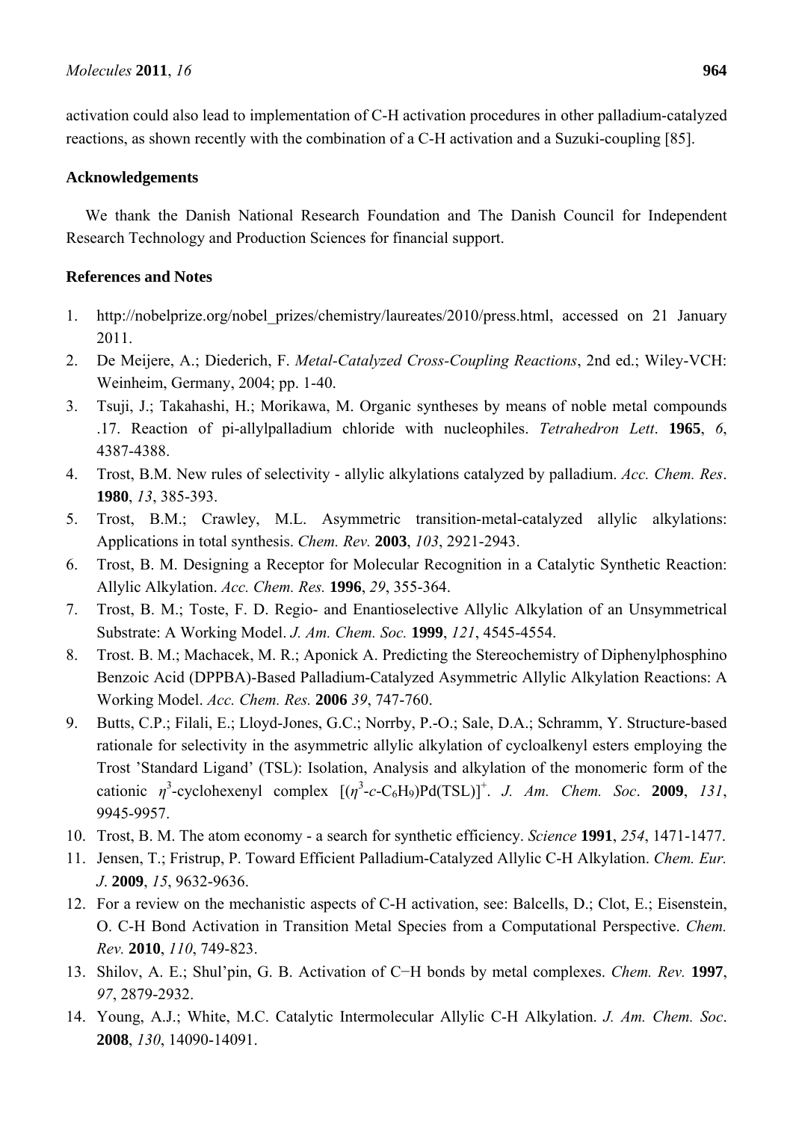activation could also lead to implementation of C-H activation procedures in other palladium-catalyzed reactions, as shown recently with the combination of a C-H activation and a Suzuki-coupling [85].

### **Acknowledgements**

We thank the Danish National Research Foundation and The Danish Council for Independent Research Technology and Production Sciences for financial support.

## **References and Notes**

- 1. http://nobelprize.org/nobel\_prizes/chemistry/laureates/2010/press.html, accessed on 21 January 2011.
- 2. De Meijere, A.; Diederich, F. *Metal-Catalyzed Cross-Coupling Reactions*, 2nd ed.; Wiley-VCH: Weinheim, Germany, 2004; pp. 1-40.
- 3. Tsuji, J.; Takahashi, H.; Morikawa, M. Organic syntheses by means of noble metal compounds .17. Reaction of pi-allylpalladium chloride with nucleophiles. *Tetrahedron Lett*. **1965**, *6*, 4387-4388.
- 4. Trost, B.M. New rules of selectivity allylic alkylations catalyzed by palladium. *Acc. Chem. Res*. **1980**, *13*, 385-393.
- 5. Trost, B.M.; Crawley, M.L. Asymmetric transition-metal-catalyzed allylic alkylations: Applications in total synthesis. *Chem. Rev.* **2003**, *103*, 2921-2943.
- 6. Trost, B. M. Designing a Receptor for Molecular Recognition in a Catalytic Synthetic Reaction: Allylic Alkylation. *Acc. Chem. Res.* **1996**, *29*, 355-364.
- 7. Trost, B. M.; Toste, F. D. Regio- and Enantioselective Allylic Alkylation of an Unsymmetrical Substrate: A Working Model. *J. Am. Chem. Soc.* **1999**, *121*, 4545-4554.
- 8. Trost. B. M.; Machacek, M. R.; Aponick A. Predicting the Stereochemistry of Diphenylphosphino Benzoic Acid (DPPBA)-Based Palladium-Catalyzed Asymmetric Allylic Alkylation Reactions: A Working Model. *Acc. Chem. Res.* **2006** *39*, 747-760.
- 9. Butts, C.P.; Filali, E.; Lloyd-Jones, G.C.; Norrby, P.-O.; Sale, D.A.; Schramm, Y. Structure-based rationale for selectivity in the asymmetric allylic alkylation of cycloalkenyl esters employing the Trost 'Standard Ligand' (TSL): Isolation, Analysis and alkylation of the monomeric form of the cationic  $\eta^3$ -cyclohexenyl complex  $[(\eta^3$ -c-C<sub>6</sub>H<sub>9</sub>)Pd(TSL)]<sup>+</sup>. *J. Am. Chem. Soc.* **2009**, *131*, 9945-9957.
- 10. Trost, B. M. The atom economy a search for synthetic efficiency. *Science* **1991**, *254*, 1471-1477.
- 11. Jensen, T.; Fristrup, P. Toward Efficient Palladium-Catalyzed Allylic C-H Alkylation. *Chem. Eur. J*. **2009**, *15*, 9632-9636.
- 12. For a review on the mechanistic aspects of C-H activation, see: Balcells, D.; Clot, E.; Eisenstein, O. C-H Bond Activation in Transition Metal Species from a Computational Perspective. *Chem. Rev.* **2010**, *110*, 749-823.
- 13. Shilov, A. E.; Shul'pin, G. B. Activation of C−H bonds by metal complexes. *Chem. Rev.* **1997**, *97*, 2879-2932.
- 14. Young, A.J.; White, M.C. Catalytic Intermolecular Allylic C-H Alkylation. *J. Am. Chem. Soc*. **2008**, *130*, 14090-14091.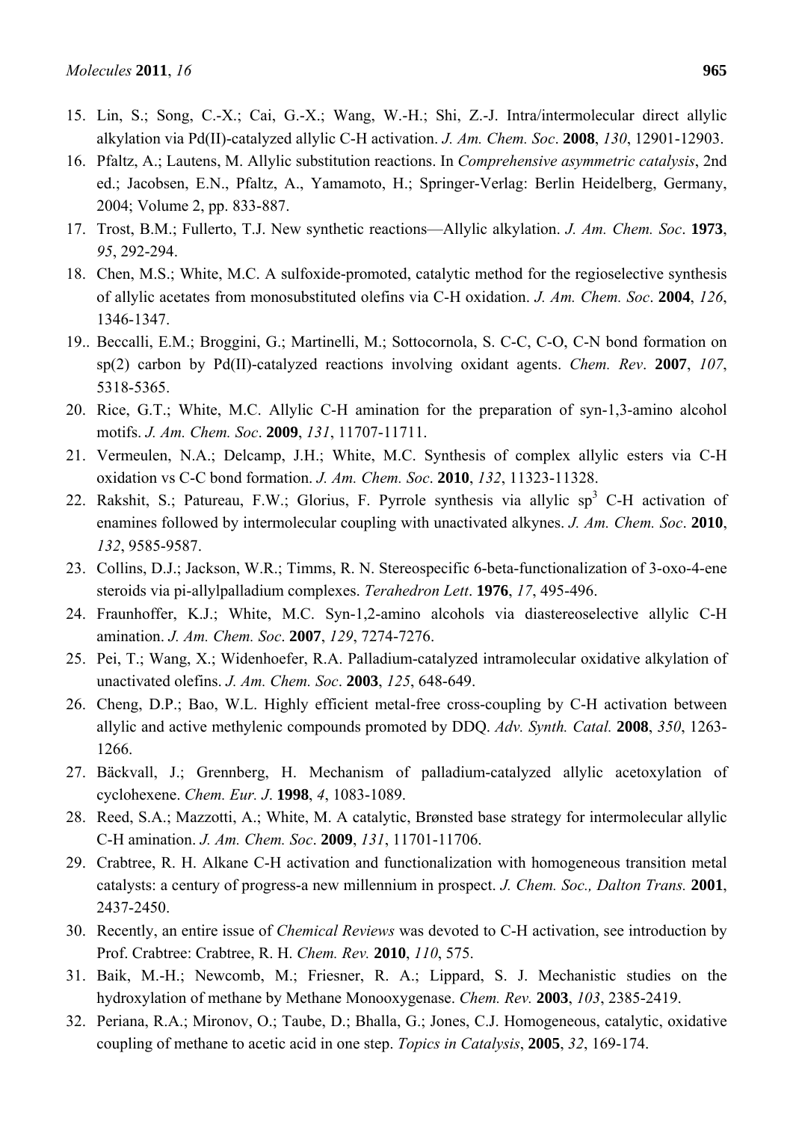- 15. Lin, S.; Song, C.-X.; Cai, G.-X.; Wang, W.-H.; Shi, Z.-J. Intra/intermolecular direct allylic alkylation via Pd(II)-catalyzed allylic C-H activation. *J. Am. Chem. Soc*. **2008**, *130*, 12901-12903.
- 16. Pfaltz, A.; Lautens, M. Allylic substitution reactions. In *Comprehensive asymmetric catalysis*, 2nd ed.; Jacobsen, E.N., Pfaltz, A., Yamamoto, H.; Springer-Verlag: Berlin Heidelberg, Germany, 2004; Volume 2, pp. 833-887.
- 17. Trost, B.M.; Fullerto, T.J. New synthetic reactions—Allylic alkylation. *J. Am. Chem. Soc*. **1973**, *95*, 292-294.
- 18. Chen, M.S.; White, M.C. A sulfoxide-promoted, catalytic method for the regioselective synthesis of allylic acetates from monosubstituted olefins via C-H oxidation. *J. Am. Chem. Soc*. **2004**, *126*, 1346-1347.
- 19.. Beccalli, E.M.; Broggini, G.; Martinelli, M.; Sottocornola, S. C-C, C-O, C-N bond formation on sp(2) carbon by Pd(II)-catalyzed reactions involving oxidant agents. *Chem. Rev*. **2007**, *107*, 5318-5365.
- 20. Rice, G.T.; White, M.C. Allylic C-H amination for the preparation of syn-1,3-amino alcohol motifs. *J. Am. Chem. Soc*. **2009**, *131*, 11707-11711.
- 21. Vermeulen, N.A.; Delcamp, J.H.; White, M.C. Synthesis of complex allylic esters via C-H oxidation vs C-C bond formation. *J. Am. Chem. Soc*. **2010**, *132*, 11323-11328.
- 22. Rakshit, S.; Patureau, F.W.; Glorius, F. Pyrrole synthesis via allylic sp<sup>3</sup> C-H activation of enamines followed by intermolecular coupling with unactivated alkynes. *J. Am. Chem. Soc*. **2010**, *132*, 9585-9587.
- 23. Collins, D.J.; Jackson, W.R.; Timms, R. N. Stereospecific 6-beta-functionalization of 3-oxo-4-ene steroids via pi-allylpalladium complexes. *Terahedron Lett*. **1976**, *17*, 495-496.
- 24. Fraunhoffer, K.J.; White, M.C. Syn-1,2-amino alcohols via diastereoselective allylic C-H amination. *J. Am. Chem. Soc*. **2007**, *129*, 7274-7276.
- 25. Pei, T.; Wang, X.; Widenhoefer, R.A. Palladium-catalyzed intramolecular oxidative alkylation of unactivated olefins. *J. Am. Chem. Soc*. **2003**, *125*, 648-649.
- 26. Cheng, D.P.; Bao, W.L. Highly efficient metal-free cross-coupling by C-H activation between allylic and active methylenic compounds promoted by DDQ. *Adv. Synth. Catal.* **2008**, *350*, 1263- 1266.
- 27. Bäckvall, J.; Grennberg, H. Mechanism of palladium-catalyzed allylic acetoxylation of cyclohexene. *Chem. Eur. J*. **1998**, *4*, 1083-1089.
- 28. Reed, S.A.; Mazzotti, A.; White, M. A catalytic, Brønsted base strategy for intermolecular allylic C-H amination. *J. Am. Chem. Soc*. **2009**, *131*, 11701-11706.
- 29. Crabtree, R. H. Alkane C-H activation and functionalization with homogeneous transition metal catalysts: a century of progress-a new millennium in prospect. *J. Chem. Soc., Dalton Trans.* **2001**, 2437-2450.
- 30. Recently, an entire issue of *Chemical Reviews* was devoted to C-H activation, see introduction by Prof. Crabtree: Crabtree, R. H. *Chem. Rev.* **2010**, *110*, 575.
- 31. Baik, M.-H.; Newcomb, M.; Friesner, R. A.; Lippard, S. J. Mechanistic studies on the hydroxylation of methane by Methane Monooxygenase. *Chem. Rev.* **2003**, *103*, 2385-2419.
- 32. Periana, R.A.; Mironov, O.; Taube, D.; Bhalla, G.; Jones, C.J. Homogeneous, catalytic, oxidative coupling of methane to acetic acid in one step. *Topics in Catalysis*, **2005**, *32*, 169-174.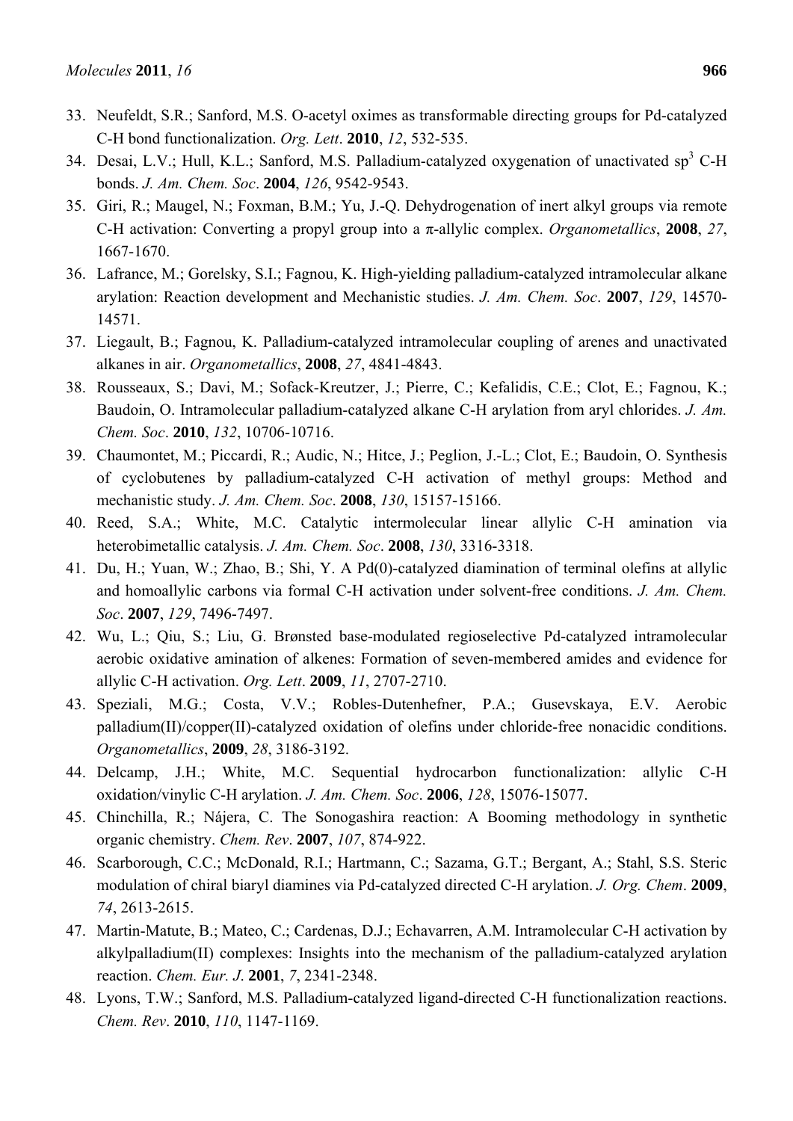- 33. Neufeldt, S.R.; Sanford, M.S. O-acetyl oximes as transformable directing groups for Pd-catalyzed C-H bond functionalization. *Org. Lett*. **2010**, *12*, 532-535.
- 34. Desai, L.V.; Hull, K.L.; Sanford, M.S. Palladium-catalyzed oxygenation of unactivated sp<sup>3</sup> C-H bonds. *J. Am. Chem. Soc*. **2004**, *126*, 9542-9543.
- 35. Giri, R.; Maugel, N.; Foxman, B.M.; Yu, J.-Q. Dehydrogenation of inert alkyl groups via remote C-H activation: Converting a propyl group into a π-allylic complex. *Organometallics*, **2008**, *27*, 1667-1670.
- 36. Lafrance, M.; Gorelsky, S.I.; Fagnou, K. High-yielding palladium-catalyzed intramolecular alkane arylation: Reaction development and Mechanistic studies. *J. Am. Chem. Soc*. **2007**, *129*, 14570- 14571.
- 37. Liegault, B.; Fagnou, K. Palladium-catalyzed intramolecular coupling of arenes and unactivated alkanes in air. *Organometallics*, **2008**, *27*, 4841-4843.
- 38. Rousseaux, S.; Davi, M.; Sofack-Kreutzer, J.; Pierre, C.; Kefalidis, C.E.; Clot, E.; Fagnou, K.; Baudoin, O. Intramolecular palladium-catalyzed alkane C-H arylation from aryl chlorides. *J. Am. Chem. Soc*. **2010**, *132*, 10706-10716.
- 39. Chaumontet, M.; Piccardi, R.; Audic, N.; Hitce, J.; Peglion, J.-L.; Clot, E.; Baudoin, O. Synthesis of cyclobutenes by palladium-catalyzed C-H activation of methyl groups: Method and mechanistic study. *J. Am. Chem. Soc*. **2008**, *130*, 15157-15166.
- 40. Reed, S.A.; White, M.C. Catalytic intermolecular linear allylic C-H amination via heterobimetallic catalysis. *J. Am. Chem. Soc*. **2008**, *130*, 3316-3318.
- 41. Du, H.; Yuan, W.; Zhao, B.; Shi, Y. A Pd(0)-catalyzed diamination of terminal olefins at allylic and homoallylic carbons via formal C-H activation under solvent-free conditions. *J. Am. Chem. Soc*. **2007**, *129*, 7496-7497.
- 42. Wu, L.; Qiu, S.; Liu, G. Brønsted base-modulated regioselective Pd-catalyzed intramolecular aerobic oxidative amination of alkenes: Formation of seven-membered amides and evidence for allylic C-H activation. *Org. Lett*. **2009**, *11*, 2707-2710.
- 43. Speziali, M.G.; Costa, V.V.; Robles-Dutenhefner, P.A.; Gusevskaya, E.V. Aerobic palladium(II)/copper(II)-catalyzed oxidation of olefins under chloride-free nonacidic conditions. *Organometallics*, **2009**, *28*, 3186-3192.
- 44. Delcamp, J.H.; White, M.C. Sequential hydrocarbon functionalization: allylic C-H oxidation/vinylic C-H arylation. *J. Am. Chem. Soc*. **2006**, *128*, 15076-15077.
- 45. Chinchilla, R.; Nájera, C. The Sonogashira reaction: A Booming methodology in synthetic organic chemistry. *Chem. Rev*. **2007**, *107*, 874-922.
- 46. Scarborough, C.C.; McDonald, R.I.; Hartmann, C.; Sazama, G.T.; Bergant, A.; Stahl, S.S. Steric modulation of chiral biaryl diamines via Pd-catalyzed directed C-H arylation. *J. Org. Chem*. **2009**, *74*, 2613-2615.
- 47. Martin-Matute, B.; Mateo, C.; Cardenas, D.J.; Echavarren, A.M. Intramolecular C-H activation by alkylpalladium(II) complexes: Insights into the mechanism of the palladium-catalyzed arylation reaction. *Chem. Eur. J*. **2001**, *7*, 2341-2348.
- 48. Lyons, T.W.; Sanford, M.S. Palladium-catalyzed ligand-directed C-H functionalization reactions. *Chem. Rev*. **2010**, *110*, 1147-1169.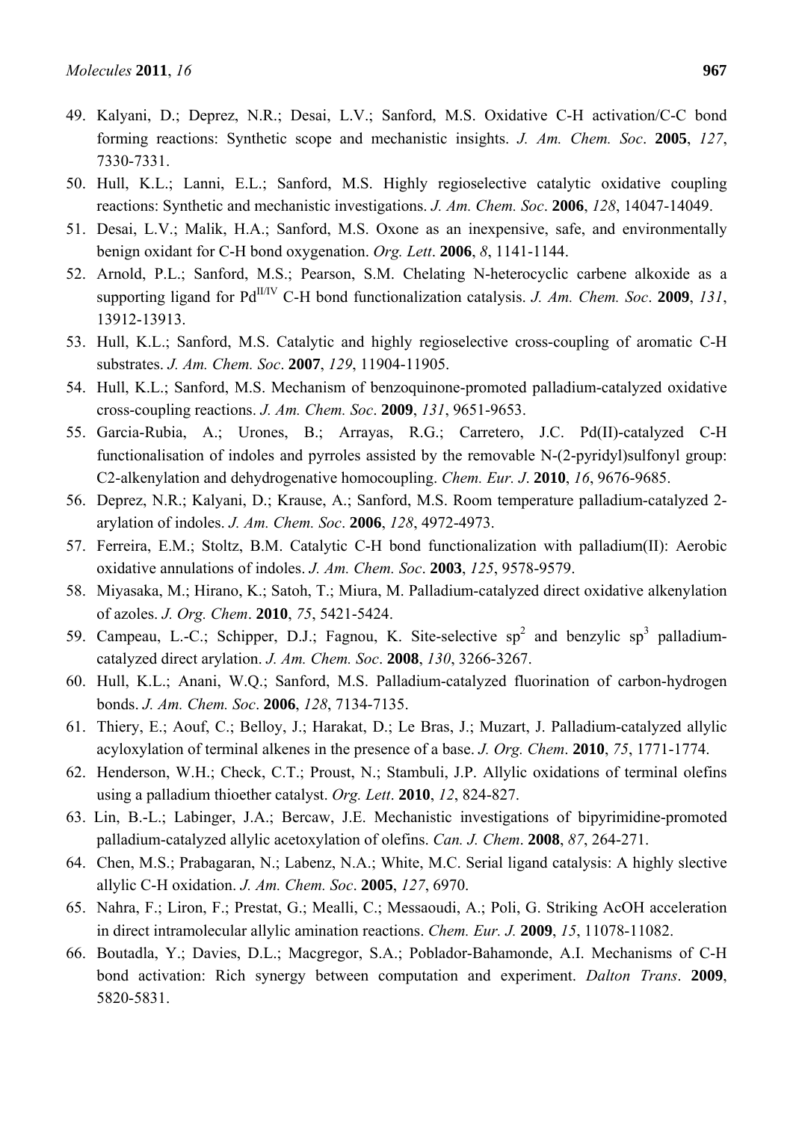- 49. Kalyani, D.; Deprez, N.R.; Desai, L.V.; Sanford, M.S. Oxidative C-H activation/C-C bond forming reactions: Synthetic scope and mechanistic insights. *J. Am. Chem. Soc*. **2005**, *127*, 7330-7331.
- 50. Hull, K.L.; Lanni, E.L.; Sanford, M.S. Highly regioselective catalytic oxidative coupling reactions: Synthetic and mechanistic investigations. *J. Am. Chem. Soc*. **2006**, *128*, 14047-14049.
- 51. Desai, L.V.; Malik, H.A.; Sanford, M.S. Oxone as an inexpensive, safe, and environmentally benign oxidant for C-H bond oxygenation. *Org. Lett*. **2006**, *8*, 1141-1144.
- 52. Arnold, P.L.; Sanford, M.S.; Pearson, S.M. Chelating N-heterocyclic carbene alkoxide as a supporting ligand for Pd<sup>II/IV</sup> C-H bond functionalization catalysis. *J. Am. Chem. Soc.* **2009**, 131, 13912-13913.
- 53. Hull, K.L.; Sanford, M.S. Catalytic and highly regioselective cross-coupling of aromatic C-H substrates. *J. Am. Chem. Soc*. **2007**, *129*, 11904-11905.
- 54. Hull, K.L.; Sanford, M.S. Mechanism of benzoquinone-promoted palladium-catalyzed oxidative cross-coupling reactions. *J. Am. Chem. Soc*. **2009**, *131*, 9651-9653.
- 55. Garcia-Rubia, A.; Urones, B.; Arrayas, R.G.; Carretero, J.C. Pd(II)-catalyzed C-H functionalisation of indoles and pyrroles assisted by the removable N-(2-pyridyl)sulfonyl group: C2-alkenylation and dehydrogenative homocoupling. *Chem. Eur. J*. **2010**, *16*, 9676-9685.
- 56. Deprez, N.R.; Kalyani, D.; Krause, A.; Sanford, M.S. Room temperature palladium-catalyzed 2 arylation of indoles. *J. Am. Chem. Soc*. **2006**, *128*, 4972-4973.
- 57. Ferreira, E.M.; Stoltz, B.M. Catalytic C-H bond functionalization with palladium(II): Aerobic oxidative annulations of indoles. *J. Am. Chem. Soc*. **2003**, *125*, 9578-9579.
- 58. Miyasaka, M.; Hirano, K.; Satoh, T.; Miura, M. Palladium-catalyzed direct oxidative alkenylation of azoles. *J. Org. Chem*. **2010**, *75*, 5421-5424.
- 59. Campeau, L.-C.; Schipper, D.J.; Fagnou, K. Site-selective  $sp^2$  and benzylic  $sp^3$  palladiumcatalyzed direct arylation. *J. Am. Chem. Soc*. **2008**, *130*, 3266-3267.
- 60. Hull, K.L.; Anani, W.Q.; Sanford, M.S. Palladium-catalyzed fluorination of carbon-hydrogen bonds. *J. Am. Chem. Soc*. **2006**, *128*, 7134-7135.
- 61. Thiery, E.; Aouf, C.; Belloy, J.; Harakat, D.; Le Bras, J.; Muzart, J. Palladium-catalyzed allylic acyloxylation of terminal alkenes in the presence of a base. *J. Org. Chem*. **2010**, *75*, 1771-1774.
- 62. Henderson, W.H.; Check, C.T.; Proust, N.; Stambuli, J.P. Allylic oxidations of terminal olefins using a palladium thioether catalyst. *Org. Lett*. **2010**, *12*, 824-827.
- 63. Lin, B.-L.; Labinger, J.A.; Bercaw, J.E. Mechanistic investigations of bipyrimidine-promoted palladium-catalyzed allylic acetoxylation of olefins. *Can. J. Chem*. **2008**, *87*, 264-271.
- 64. Chen, M.S.; Prabagaran, N.; Labenz, N.A.; White, M.C. Serial ligand catalysis: A highly slective allylic C-H oxidation. *J. Am. Chem. Soc*. **2005**, *127*, 6970.
- 65. Nahra, F.; Liron, F.; Prestat, G.; Mealli, C.; Messaoudi, A.; Poli, G. Striking AcOH acceleration in direct intramolecular allylic amination reactions. *Chem. Eur. J.* **2009**, *15*, 11078-11082.
- 66. Boutadla, Y.; Davies, D.L.; Macgregor, S.A.; Poblador-Bahamonde, A.I. Mechanisms of C-H bond activation: Rich synergy between computation and experiment. *Dalton Trans*. **2009**, 5820-5831.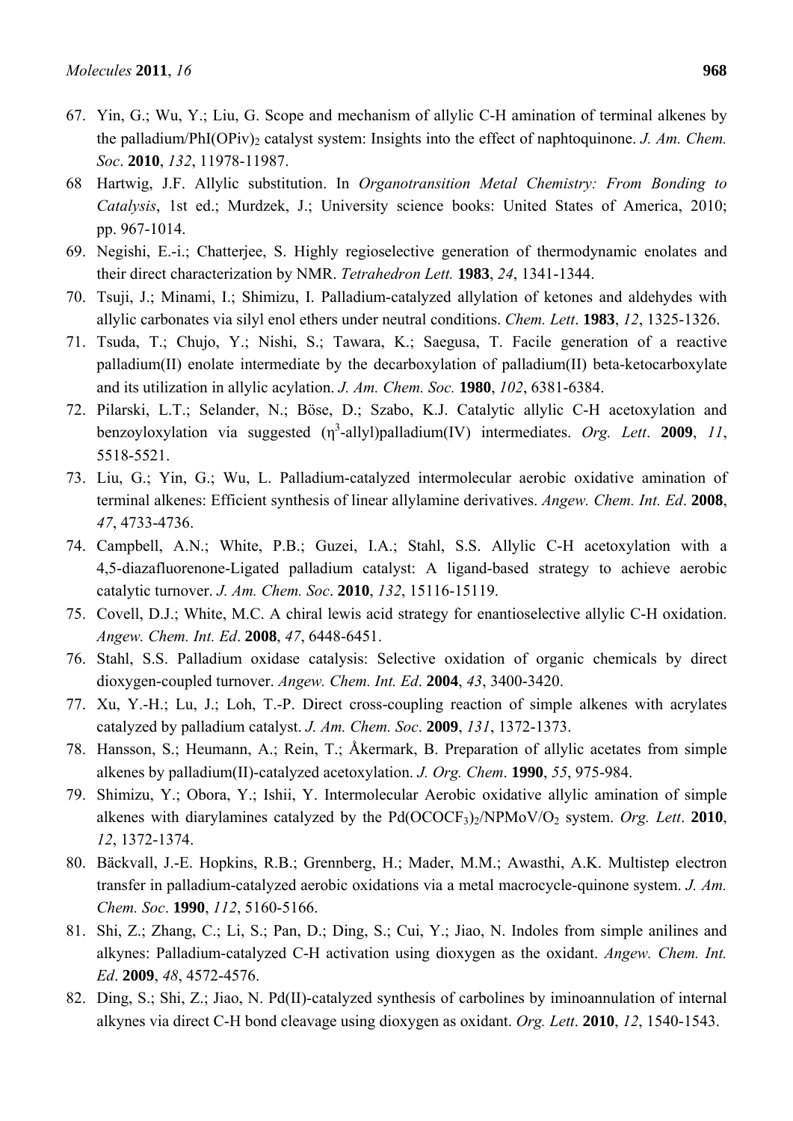- 67. Yin, G.; Wu, Y.; Liu, G. Scope and mechanism of allylic C-H amination of terminal alkenes by the palladium/PhI(OPiv)<sub>2</sub> catalyst system: Insights into the effect of naphtoquinone. *J. Am. Chem. Soc*. **2010**, *132*, 11978-11987.
- 68 Hartwig, J.F. Allylic substitution. In *Organotransition Metal Chemistry: From Bonding to Catalysis*, 1st ed.; Murdzek, J.; University science books: United States of America, 2010; pp. 967-1014.
- 69. Negishi, E.-i.; Chatterjee, S. Highly regioselective generation of thermodynamic enolates and their direct characterization by NMR. *Tetrahedron Lett.* **1983**, *24*, 1341-1344.
- 70. Tsuji, J.; Minami, I.; Shimizu, I. Palladium-catalyzed allylation of ketones and aldehydes with allylic carbonates via silyl enol ethers under neutral conditions. *Chem. Lett*. **1983**, *12*, 1325-1326.
- 71. Tsuda, T.; Chujo, Y.; Nishi, S.; Tawara, K.; Saegusa, T. Facile generation of a reactive palladium(II) enolate intermediate by the decarboxylation of palladium(II) beta-ketocarboxylate and its utilization in allylic acylation. *J. Am. Chem. Soc.* **1980**, *102*, 6381-6384.
- 72. Pilarski, L.T.; Selander, N.; Böse, D.; Szabo, K.J. Catalytic allylic C-H acetoxylation and benzoyloxylation via suggested  $(\eta^3$ -allyl)palladium(IV) intermediates. Org. Lett. 2009, 11, 5518-5521.
- 73. Liu, G.; Yin, G.; Wu, L. Palladium-catalyzed intermolecular aerobic oxidative amination of terminal alkenes: Efficient synthesis of linear allylamine derivatives. *Angew. Chem. Int. Ed*. **2008**, *47*, 4733-4736.
- 74. Campbell, A.N.; White, P.B.; Guzei, I.A.; Stahl, S.S. Allylic C-H acetoxylation with a 4,5-diazafluorenone-Ligated palladium catalyst: A ligand-based strategy to achieve aerobic catalytic turnover. *J. Am. Chem. Soc*. **2010**, *132*, 15116-15119.
- 75. Covell, D.J.; White, M.C. A chiral lewis acid strategy for enantioselective allylic C-H oxidation. *Angew. Chem. Int. Ed*. **2008**, *47*, 6448-6451.
- 76. Stahl, S.S. Palladium oxidase catalysis: Selective oxidation of organic chemicals by direct dioxygen-coupled turnover. *Angew. Chem. Int. Ed*. **2004**, *43*, 3400-3420.
- 77. Xu, Y.-H.; Lu, J.; Loh, T.-P. Direct cross-coupling reaction of simple alkenes with acrylates catalyzed by palladium catalyst. *J. Am. Chem. Soc*. **2009**, *131*, 1372-1373.
- 78. Hansson, S.; Heumann, A.; Rein, T.; Åkermark, B. Preparation of allylic acetates from simple alkenes by palladium(II)-catalyzed acetoxylation. *J. Org. Chem*. **1990**, *55*, 975-984.
- 79. Shimizu, Y.; Obora, Y.; Ishii, Y. Intermolecular Aerobic oxidative allylic amination of simple alkenes with diarylamines catalyzed by the Pd(OCOCF3)2/NPMoV/O2 system. *Org. Lett*. **2010**, *12*, 1372-1374.
- 80. Bäckvall, J.-E. Hopkins, R.B.; Grennberg, H.; Mader, M.M.; Awasthi, A.K. Multistep electron transfer in palladium-catalyzed aerobic oxidations via a metal macrocycle-quinone system. *J. Am. Chem. Soc*. **1990**, *112*, 5160-5166.
- 81. Shi, Z.; Zhang, C.; Li, S.; Pan, D.; Ding, S.; Cui, Y.; Jiao, N. Indoles from simple anilines and alkynes: Palladium-catalyzed C-H activation using dioxygen as the oxidant. *Angew. Chem. Int. Ed*. **2009**, *48*, 4572-4576.
- 82. Ding, S.; Shi, Z.; Jiao, N. Pd(II)-catalyzed synthesis of carbolines by iminoannulation of internal alkynes via direct C-H bond cleavage using dioxygen as oxidant. *Org. Lett*. **2010**, *12*, 1540-1543.